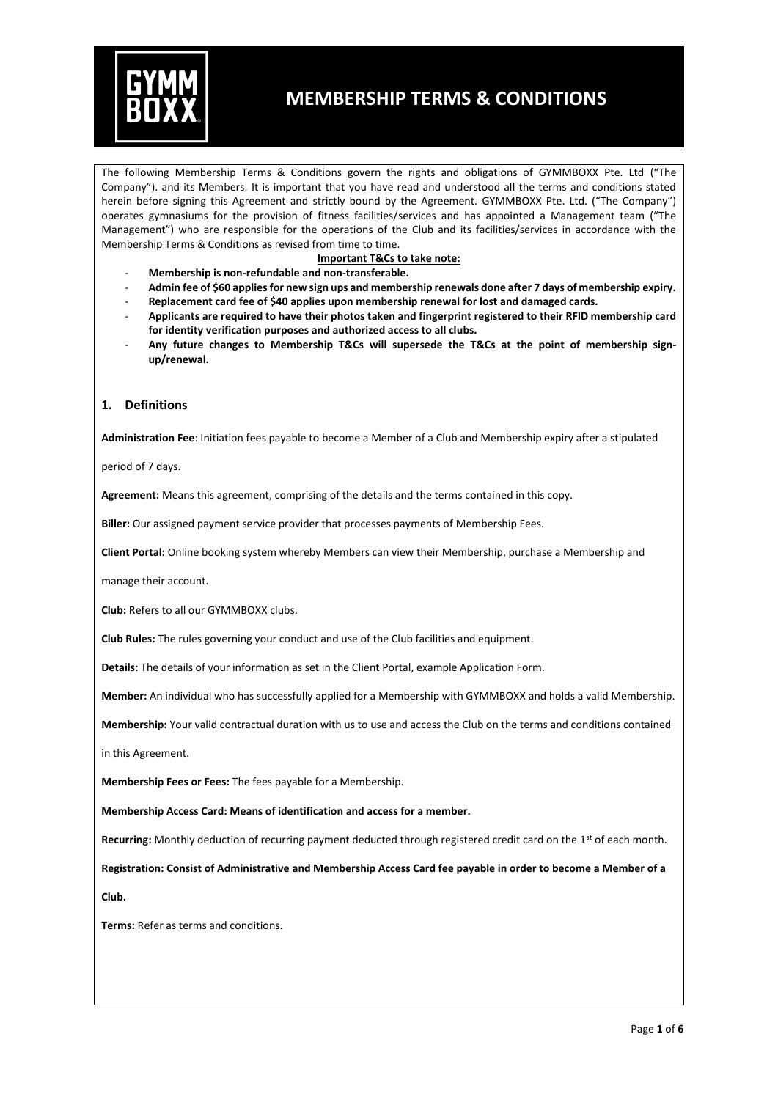

The following Membership Terms & Conditions govern the rights and obligations of GYMMBOXX Pte. Ltd ("The Company"). and its Members. It is important that you have read and understood all the terms and conditions stated herein before signing this Agreement and strictly bound by the Agreement. GYMMBOXX Pte. Ltd. ("The Company") operates gymnasiums for the provision of fitness facilities/services and has appointed a Management team ("The Management") who are responsible for the operations of the Club and its facilities/services in accordance with the Membership Terms & Conditions as revised from time to time.

#### **Important T&Cs to take note:**

- **Membership is non-refundable and non-transferable.**
- **Admin fee of \$60 applies for new sign ups and membership renewals done after 7 days of membership expiry.**
- **Replacement card fee of \$40 applies upon membership renewal for lost and damaged cards.**
- **Applicants are required to have their photos taken and fingerprint registered to their RFID membership card for identity verification purposes and authorized access to all clubs.**
- **Any future changes to Membership T&Cs will supersede the T&Cs at the point of membership signup/renewal.**

#### **1. Definitions**

**Administration Fee**: Initiation fees payable to become a Member of a Club and Membership expiry after a stipulated

period of 7 days.

**Agreement:** Means this agreement, comprising of the details and the terms contained in this copy.

**Biller:** Our assigned payment service provider that processes payments of Membership Fees.

**Client Portal:** Online booking system whereby Members can view their Membership, purchase a Membership and

manage their account.

**Club:** Refers to all our GYMMBOXX clubs.

**Club Rules:** The rules governing your conduct and use of the Club facilities and equipment.

**Details:** The details of your information as set in the Client Portal, example Application Form.

**Member:** An individual who has successfully applied for a Membership with GYMMBOXX and holds a valid Membership.

**Membership:** Your valid contractual duration with us to use and access the Club on the terms and conditions contained

in this Agreement.

**Membership Fees or Fees:** The fees payable for a Membership.

**Membership Access Card: Means of identification and access for a member.**

**Recurring:** Monthly deduction of recurring payment deducted through registered credit card on the 1st of each month.

**Registration: Consist of Administrative and Membership Access Card fee payable in order to become a Member of a Club.**

**Terms:** Refer as terms and conditions.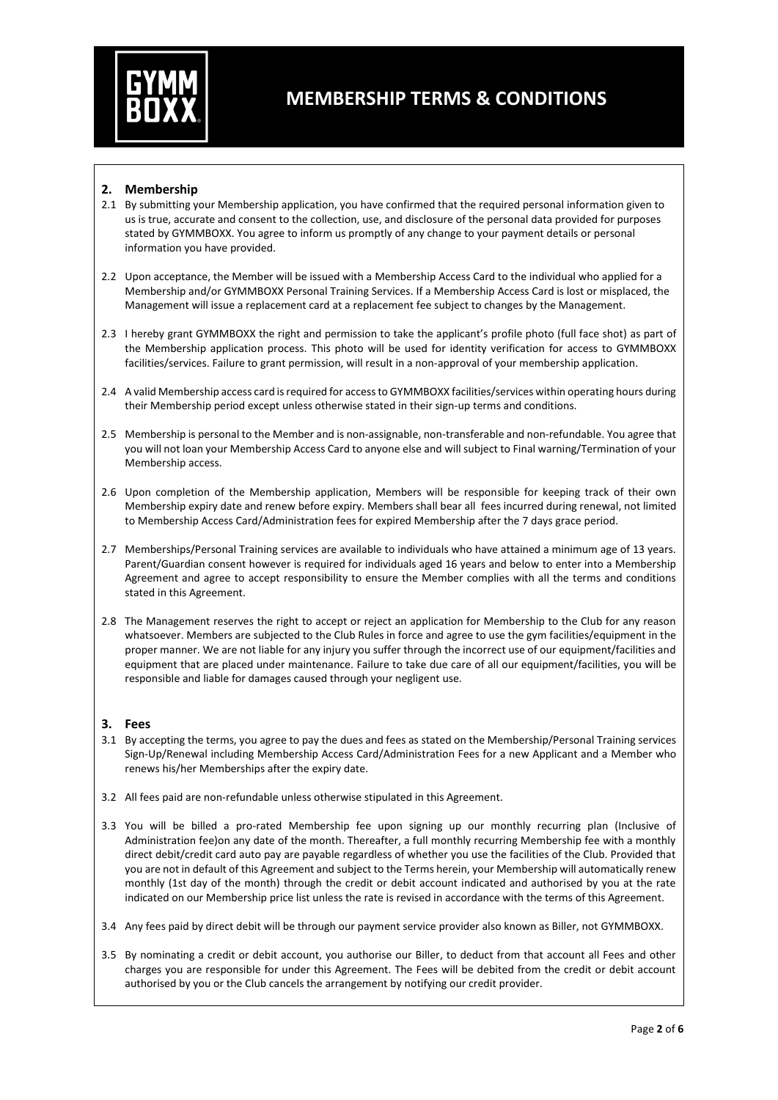

### **2. Membership**

- 2.1 By submitting your Membership application, you have confirmed that the required personal information given to us is true, accurate and consent to the collection, use, and disclosure of the personal data provided for purposes stated by GYMMBOXX. You agree to inform us promptly of any change to your payment details or personal information you have provided.
- 2.2 Upon acceptance, the Member will be issued with a Membership Access Card to the individual who applied for a Membership and/or GYMMBOXX Personal Training Services. If a Membership Access Card is lost or misplaced, the Management will issue a replacement card at a replacement fee subject to changes by the Management.
- 2.3 I hereby grant GYMMBOXX the right and permission to take the applicant's profile photo (full face shot) as part of the Membership application process. This photo will be used for identity verification for access to GYMMBOXX facilities/services. Failure to grant permission, will result in a non-approval of your membership application.
- 2.4 A valid Membership access card is required for access to GYMMBOXX facilities/services within operating hours during their Membership period except unless otherwise stated in their sign-up terms and conditions.
- 2.5 Membership is personal to the Member and is non-assignable, non-transferable and non-refundable. You agree that you will not loan your Membership Access Card to anyone else and will subject to Final warning/Termination of your Membership access.
- 2.6 Upon completion of the Membership application, Members will be responsible for keeping track of their own Membership expiry date and renew before expiry. Members shall bear all fees incurred during renewal, not limited to Membership Access Card/Administration fees for expired Membership after the 7 days grace period.
- 2.7 Memberships/Personal Training services are available to individuals who have attained a minimum age of 13 years. Parent/Guardian consent however is required for individuals aged 16 years and below to enter into a Membership Agreement and agree to accept responsibility to ensure the Member complies with all the terms and conditions stated in this Agreement.
- 2.8 The Management reserves the right to accept or reject an application for Membership to the Club for any reason whatsoever. Members are subjected to the Club Rules in force and agree to use the gym facilities/equipment in the proper manner. We are not liable for any injury you suffer through the incorrect use of our equipment/facilities and equipment that are placed under maintenance. Failure to take due care of all our equipment/facilities, you will be responsible and liable for damages caused through your negligent use.

#### **3. Fees**

- 3.1 By accepting the terms, you agree to pay the dues and fees as stated on the Membership/Personal Training services Sign-Up/Renewal including Membership Access Card/Administration Fees for a new Applicant and a Member who renews his/her Memberships after the expiry date.
- 3.2 All fees paid are non-refundable unless otherwise stipulated in this Agreement.
- 3.3 You will be billed a pro-rated Membership fee upon signing up our monthly recurring plan (Inclusive of Administration fee)on any date of the month. Thereafter, a full monthly recurring Membership fee with a monthly direct debit/credit card auto pay are payable regardless of whether you use the facilities of the Club. Provided that you are not in default of this Agreement and subject to the Terms herein, your Membership will automatically renew monthly (1st day of the month) through the credit or debit account indicated and authorised by you at the rate indicated on our Membership price list unless the rate is revised in accordance with the terms of this Agreement.
- 3.4 Any fees paid by direct debit will be through our payment service provider also known as Biller, not GYMMBOXX.
- 3.5 By nominating a credit or debit account, you authorise our Biller, to deduct from that account all Fees and other charges you are responsible for under this Agreement. The Fees will be debited from the credit or debit account authorised by you or the Club cancels the arrangement by notifying our credit provider.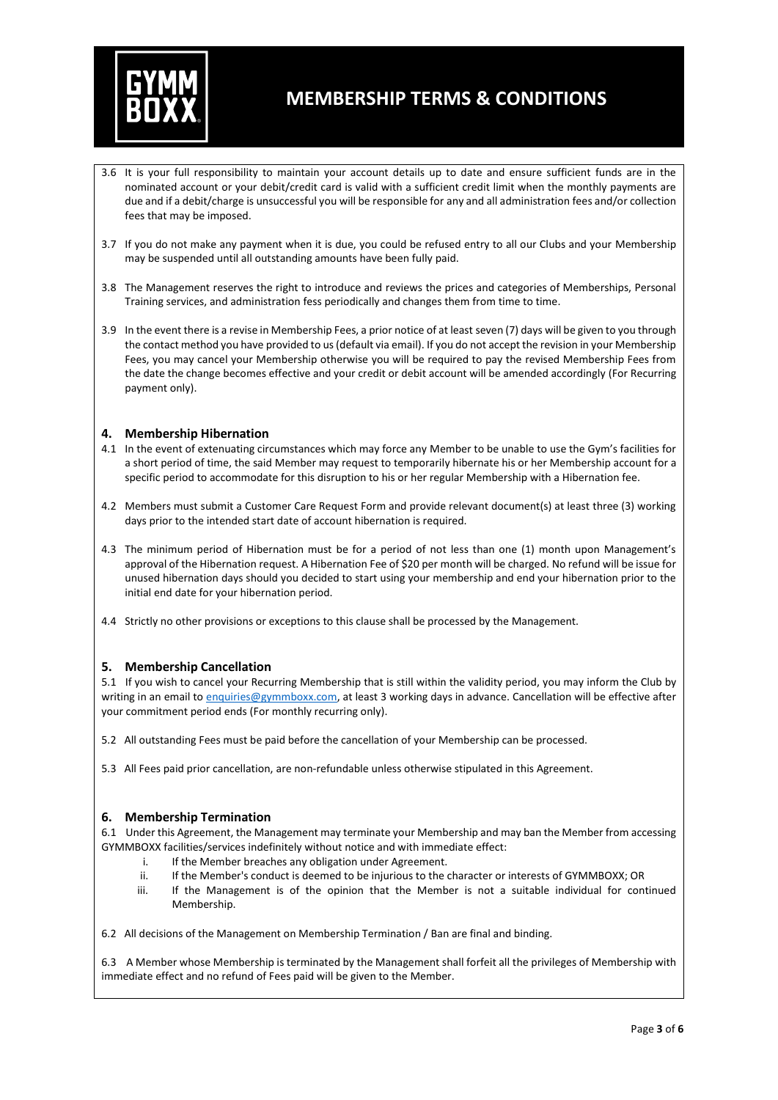

- 3.6 It is your full responsibility to maintain your account details up to date and ensure sufficient funds are in the nominated account or your debit/credit card is valid with a sufficient credit limit when the monthly payments are due and if a debit/charge is unsuccessful you will be responsible for any and all administration fees and/or collection fees that may be imposed.
- 3.7 If you do not make any payment when it is due, you could be refused entry to all our Clubs and your Membership may be suspended until all outstanding amounts have been fully paid.
- 3.8 The Management reserves the right to introduce and reviews the prices and categories of Memberships, Personal Training services, and administration fess periodically and changes them from time to time.
- 3.9 In the event there is a revise in Membership Fees, a prior notice of at least seven (7) days will be given to you through the contact method you have provided to us (default via email). If you do not accept the revision in your Membership Fees, you may cancel your Membership otherwise you will be required to pay the revised Membership Fees from the date the change becomes effective and your credit or debit account will be amended accordingly (For Recurring payment only).

### **4. Membership Hibernation**

- 4.1 In the event of extenuating circumstances which may force any Member to be unable to use the Gym's facilities for a short period of time, the said Member may request to temporarily hibernate his or her Membership account for a specific period to accommodate for this disruption to his or her regular Membership with a Hibernation fee.
- 4.2 Members must submit a Customer Care Request Form and provide relevant document(s) at least three (3) working days prior to the intended start date of account hibernation is required.
- 4.3 The minimum period of Hibernation must be for a period of not less than one (1) month upon Management's approval of the Hibernation request. A Hibernation Fee of \$20 per month will be charged. No refund will be issue for unused hibernation days should you decided to start using your membership and end your hibernation prior to the initial end date for your hibernation period.
- 4.4 Strictly no other provisions or exceptions to this clause shall be processed by the Management.

#### **5. Membership Cancellation**

5.1 If you wish to cancel your Recurring Membership that is still within the validity period, you may inform the Club by writing in an email to [enquiries@gymmboxx.com,](mailto:enquiries@gymmboxx.com) at least 3 working days in advance. Cancellation will be effective after your commitment period ends (For monthly recurring only).

- 5.2 All outstanding Fees must be paid before the cancellation of your Membership can be processed.
- 5.3 All Fees paid prior cancellation, are non-refundable unless otherwise stipulated in this Agreement.

#### **6. Membership Termination**

6.1 Under this Agreement, the Management may terminate your Membership and may ban the Member from accessing GYMMBOXX facilities/services indefinitely without notice and with immediate effect:

- i. If the Member breaches any obligation under Agreement.
- ii. If the Member's conduct is deemed to be injurious to the character or interests of GYMMBOXX; OR
- iii. If the Management is of the opinion that the Member is not a suitable individual for continued Membership.

6.2 All decisions of the Management on Membership Termination / Ban are final and binding.

6.3 A Member whose Membership is terminated by the Management shall forfeit all the privileges of Membership with immediate effect and no refund of Fees paid will be given to the Member.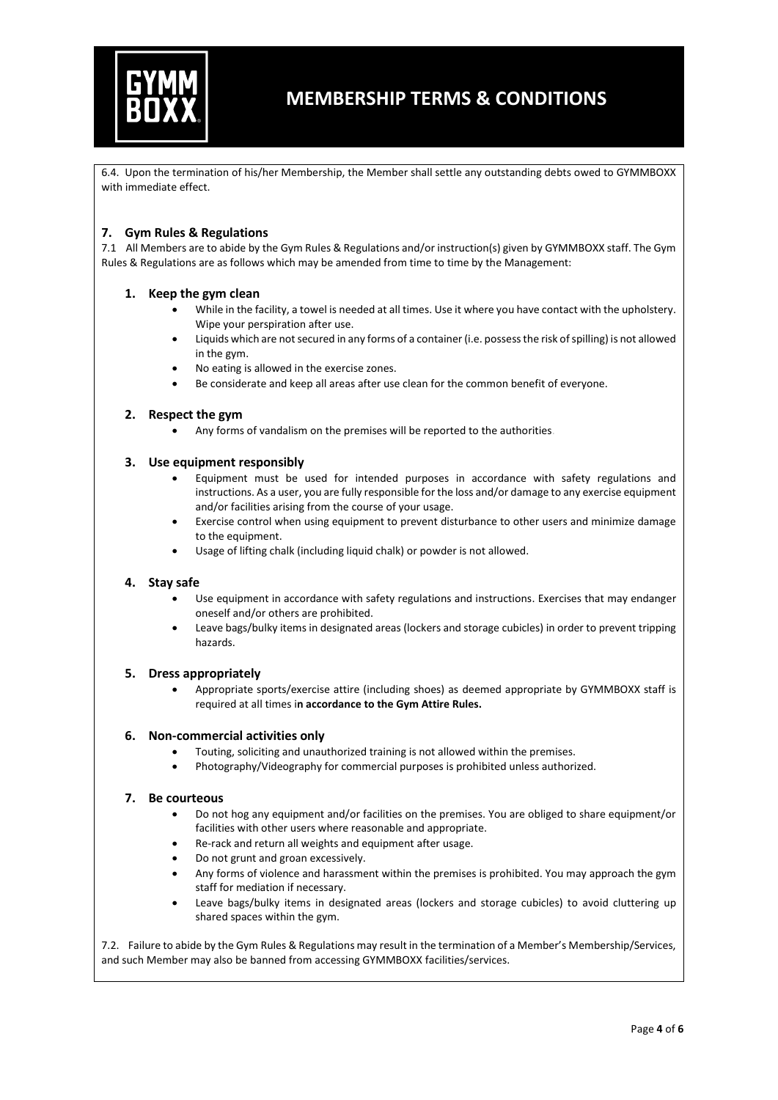

6.4. Upon the termination of his/her Membership, the Member shall settle any outstanding debts owed to GYMMBOXX with immediate effect.

### **7. Gym Rules & Regulations**

7.1 All Members are to abide by the Gym Rules & Regulations and/or instruction(s) given by GYMMBOXX staff. The Gym Rules & Regulations are as follows which may be amended from time to time by the Management:

### **1. Keep the gym clean**

- While in the facility, a towel is needed at all times. Use it where you have contact with the upholstery. Wipe your perspiration after use.
- Liquids which are not secured in any forms of a container (i.e. possess the risk of spilling) is not allowed in the gym.
- No eating is allowed in the exercise zones.
- Be considerate and keep all areas after use clean for the common benefit of everyone.

#### **2. Respect the gym**

Any forms of vandalism on the premises will be reported to the authorities.

#### **3. Use equipment responsibly**

- Equipment must be used for intended purposes in accordance with safety regulations and instructions. As a user, you are fully responsible for the loss and/or damage to any exercise equipment and/or facilities arising from the course of your usage.
- Exercise control when using equipment to prevent disturbance to other users and minimize damage to the equipment.
- Usage of lifting chalk (including liquid chalk) or powder is not allowed.

#### **4. Stay safe**

- Use equipment in accordance with safety regulations and instructions. Exercises that may endanger oneself and/or others are prohibited.
- Leave bags/bulky items in designated areas (lockers and storage cubicles) in order to prevent tripping hazards.

#### **5. Dress appropriately**

• Appropriate sports/exercise attire (including shoes) as deemed appropriate by GYMMBOXX staff is required at all times i**n accordance to the Gym Attire Rules.**

#### **6. Non-commercial activities only**

- Touting, soliciting and unauthorized training is not allowed within the premises.
- Photography/Videography for commercial purposes is prohibited unless authorized.

#### **7. Be courteous**

- Do not hog any equipment and/or facilities on the premises. You are obliged to share equipment/or facilities with other users where reasonable and appropriate.
- Re-rack and return all weights and equipment after usage.
- Do not grunt and groan excessively.
- Any forms of violence and harassment within the premises is prohibited. You may approach the gym staff for mediation if necessary.
- Leave bags/bulky items in designated areas (lockers and storage cubicles) to avoid cluttering up shared spaces within the gym.

7.2. Failure to abide by the Gym Rules & Regulations may result in the termination of a Member's Membership/Services, and such Member may also be banned from accessing GYMMBOXX facilities/services.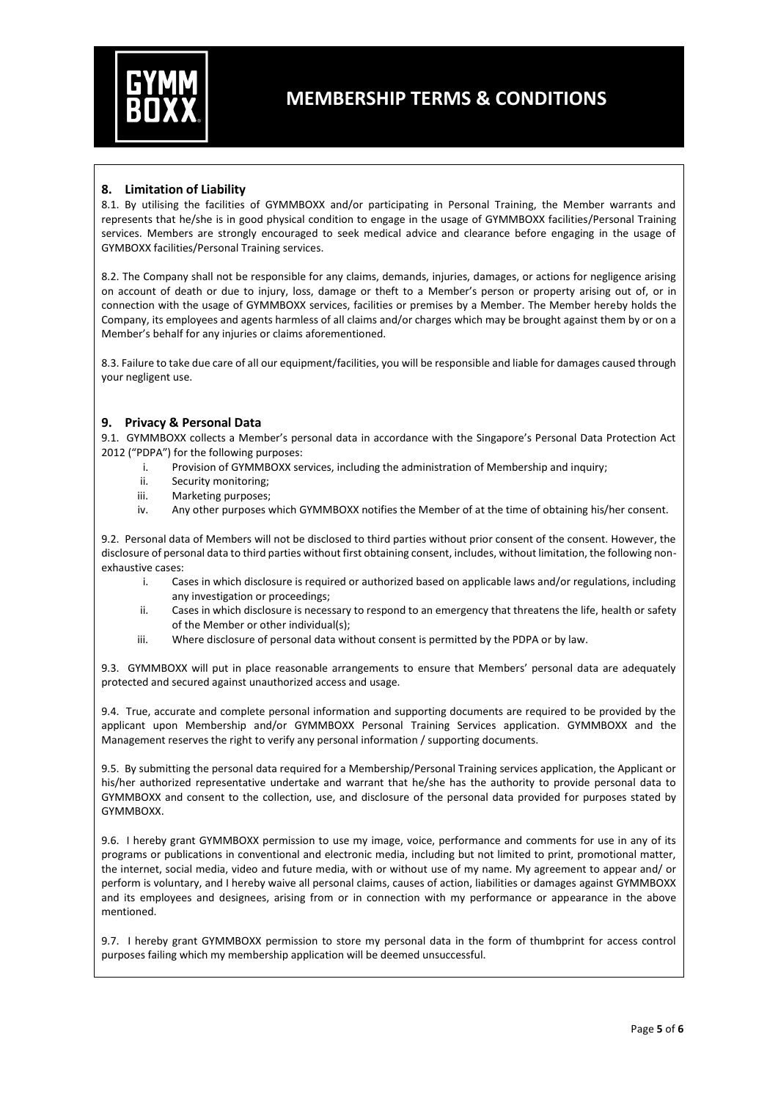

### **8. Limitation of Liability**

8.1. By utilising the facilities of GYMMBOXX and/or participating in Personal Training, the Member warrants and represents that he/she is in good physical condition to engage in the usage of GYMMBOXX facilities/Personal Training services. Members are strongly encouraged to seek medical advice and clearance before engaging in the usage of GYMBOXX facilities/Personal Training services.

8.2. The Company shall not be responsible for any claims, demands, injuries, damages, or actions for negligence arising on account of death or due to injury, loss, damage or theft to a Member's person or property arising out of, or in connection with the usage of GYMMBOXX services, facilities or premises by a Member. The Member hereby holds the Company, its employees and agents harmless of all claims and/or charges which may be brought against them by or on a Member's behalf for any injuries or claims aforementioned.

8.3. Failure to take due care of all our equipment/facilities, you will be responsible and liable for damages caused through your negligent use.

### **9. Privacy & Personal Data**

9.1. GYMMBOXX collects a Member's personal data in accordance with the Singapore's Personal Data Protection Act 2012 ("PDPA") for the following purposes:

- i. Provision of GYMMBOXX services, including the administration of Membership and inquiry;
- ii. Security monitoring;
- iii. Marketing purposes;
- iv. Any other purposes which GYMMBOXX notifies the Member of at the time of obtaining his/her consent.

9.2. Personal data of Members will not be disclosed to third parties without prior consent of the consent. However, the disclosure of personal data to third parties without first obtaining consent, includes, without limitation, the following nonexhaustive cases:

- i. Cases in which disclosure is required or authorized based on applicable laws and/or regulations, including any investigation or proceedings;
- ii. Cases in which disclosure is necessary to respond to an emergency that threatens the life, health or safety of the Member or other individual(s);
- iii. Where disclosure of personal data without consent is permitted by the PDPA or by law.

9.3. GYMMBOXX will put in place reasonable arrangements to ensure that Members' personal data are adequately protected and secured against unauthorized access and usage.

9.4. True, accurate and complete personal information and supporting documents are required to be provided by the applicant upon Membership and/or GYMMBOXX Personal Training Services application. GYMMBOXX and the Management reserves the right to verify any personal information / supporting documents.

9.5. By submitting the personal data required for a Membership/Personal Training services application, the Applicant or his/her authorized representative undertake and warrant that he/she has the authority to provide personal data to GYMMBOXX and consent to the collection, use, and disclosure of the personal data provided for purposes stated by GYMMBOXX.

9.6. I hereby grant GYMMBOXX permission to use my image, voice, performance and comments for use in any of its programs or publications in conventional and electronic media, including but not limited to print, promotional matter, the internet, social media, video and future media, with or without use of my name. My agreement to appear and/ or perform is voluntary, and I hereby waive all personal claims, causes of action, liabilities or damages against GYMMBOXX and its employees and designees, arising from or in connection with my performance or appearance in the above mentioned.

9.7. I hereby grant GYMMBOXX permission to store my personal data in the form of thumbprint for access control purposes failing which my membership application will be deemed unsuccessful.